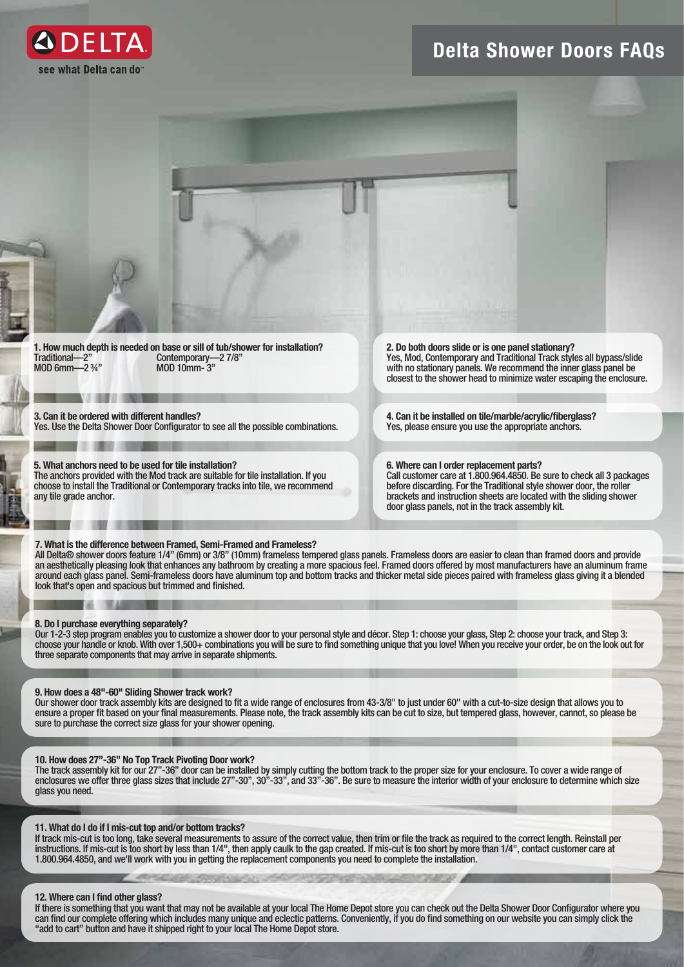

# Delta Shower Doors FAQs



1. How much depth is needed on base or sill of tub/shower for installation?<br>Traditional—2" Contemporary—27/8" Traditional—2" Contemporary—2 7/8" MOD 6mm—2 ¾" MOD 10mm- 3"

3. Can it be ordered with different handles? Yes. Use the Delta Shower Door Configurator to see all the possible combinations.

5. What anchors need to be used for tile installation? The anchors provided with the Mod track are suitable for tile installation. If you choose to install the Traditional or Contemporary tracks into tile, we recommend any tile grade anchor.

Yes, Mod, Contemporary and Traditional Track styles all bypass/slide with no stationary panels. We recommend the inner glass panel be closest to the shower head to minimize water escaping the enclosure.

4. Can it be installed on tile/marble/acrylic/fiberglass? Yes, please ensure you use the appropriate anchors.

6. Where can I order replacement parts? Call customer care at 1.800.964.4850. Be sure to check all 3 packages before discarding. For the Traditional style shower door, the roller brackets and instruction sheets are located with the sliding shower door glass panels, not in the track assembly kit.

### 7. What is the difference between Framed, Semi-Framed and Frameless?

All Delta® shower doors feature 1/4" (6mm) or 3/8" (10mm) frameless tempered glass panels. Frameless doors are easier to clean than framed doors and provide an aesthetically pleasing look that enhances any bathroom by creating a more spacious feel. Framed doors offered by most manufacturers have an aluminum frame around each glass panel. Semi-frameless doors have aluminum top and bottom tracks and thicker metal side pieces paired with frameless glass giving it a blended look that's open and spacious but trimmed and finished.

### 8. Do I purchase everything separately?

Our 1-2-3 step program enables you to customize a shower door to your personal style and décor. Step 1: choose your glass, Step 2: choose your track, and Step 3: choose your handle or knob. With over 1,500+ combinations you will be sure to find something unique that you love! When you receive your order, be on the look out for three separate components that may arrive in separate shipments.

# 9. How does a 48"-60" Sliding Shower track work?

Our shower door track assembly kits are designed to fit a wide range of enclosures from 43-3/8" to just under 60" with a cut-to-size design that allows you to ensure a proper fit based on your final measurements. Please note, the track assembly kits can be cut to size, but tempered glass, however, cannot, so please be sure to purchase the correct size glass for your shower opening.

# 10. How does 27"-36" No Top Track Pivoting Door work?

The track assembly kit for our 27"-36" door can be installed by simply cutting the bottom track to the proper size for your enclosure. To cover a wide range of enclosures we offer three glass sizes that include 27"-30", 30"-33", and 33"-36". Be sure to measure the interior width of your enclosure to determine which size glass you need.

# 11. What do I do if I mis-cut top and/or bottom tracks?

If track mis-cut is too long, take several measurements to assure of the correct value, then trim or file the track as required to the correct length. Reinstall per instructions. If mis-cut is too short by less than 1/4", then apply caulk to the gap created. If mis-cut is too short by more than 1/4", contact customer care at 1.800.964.4850, and we'll work with you in getting the replacement components you need to complete the installation.

# 12. Where can I find other glass?

If there is something that you want that may not be available at your local The Home Depot store you can check out the Delta Shower Door Configurator where you can find our complete offering which includes many unique and eclectic patterns. Conveniently, if you do find something on our website you can simply click the "add to cart" button and have it shipped right to your local The Home Depot store.